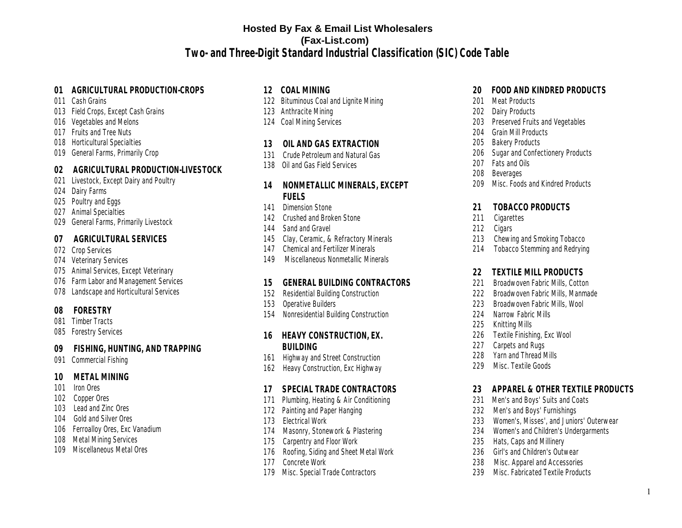### **[Hosted By Fax & Email List Wholesalers](https://www.fax-list.com) (Fax-List.com)**

**Two- and Three-Digit Standard Industrial Classification (SIC) Code Table** 

### **01 AGRICULTURAL PRODUCTION-CROPS**

- 011 Cash Grains
- 013 Field Crops, Except Cash Grains
- 016 Vegetables and Melons
- 017 Fruits and Tree Nuts
- 018 Horticultural Specialties
- 019 General Farms, Primarily Crop

### **02 AGRICULTURAL PRODUCTION-LIVESTOCK**

- 021 Livestock, Except Dairy and Poultry
- 024 Dairy Farms
- 025 Poultry and Eggs
- 027 Animal Specialties
- 029 General Farms, Primarily Livestock

### **07 AGRICULTURAL SERVICES**

- 072 Crop Services
- 074 Veterinary Services
- 075 Animal Services, Except Veterinary
- 076 Farm Labor and Management Services
- 078 Landscape and Horticultural Services

### **08 FORESTRY**

- 081 Timber Tracts<br>085 Forestry Servic
- **Forestry Services**

# **09 FISHING, HUNTING, AND TRAPPING**

Commercial Fishing

# **10 METAL MINING**

- 101 Iron Ores<br>102 Copper Or
- 102 Copper Ores<br>103 Lead and 7in
- Lead and Zinc Ores
- 104 Gold and Silver Ores<br>106 Ferroallov Ores. Exc
- 106 Ferroalloy Ores, Exc Vanadium<br>108 Metal Mining Services
- 108 Metal Mining Services<br>109 Miscellaneous Metal O
- Miscellaneous Metal Ores
- **12 COAL MINING**
- 122 Bituminous Coal and Lignite Mining<br>123 Anthracite Mining
- Anthracite Mining
- 124 Coal Mining Services
- **13 OIL AND GAS EXTRACTION**
- 131 Crude Petroleum and Natural Gas
- 138 Oil and Gas Field Services
- **14 NONMETALLIC MINERALS, EXCEPT FUELS**
- 141 Dimension Stone
- 142 Crushed and Broken Stone<br>144 Sand and Gravel
- Sand and Gravel
- 145 Clay, Ceramic, & Refractory Minerals<br>147 Chemical and Fertilizer Minerals
- 147 Chemical and Fertilizer Minerals<br>149 Miscellaneous Nonmetallic Mine
- Miscellaneous Nonmetallic Minerals

# **15 GENERAL BUILDING CONTRACTORS**

- Residential Building Construction
- 153 Operative Builders
- 154 Nonresidential Building Construction
- **16 HEAVY CONSTRUCTION, EX. BUILDING**
- 161 Highway and Street Construction
- 162 Heavy Construction, Exc Highway

# **17 SPECIAL TRADE CONTRACTORS**

- Plumbing, Heating & Air Conditioning
- 172 Painting and Paper Hanging
- 173 Electrical Work
- 174 Masonry, Stonework & Plastering
- 175 Carpentry and Floor Work
- 176 Roofing, Siding and Sheet Metal Work
- 177 Concrete Work
- 179 Misc. Special Trade Contractors
- **20 FOOD AND KINDRED PRODUCTS**
- 201 Meat Products<br>202 Dairy Products
- 202 Dairy Products<br>203 Preserved Fruit
- 203 Preserved Fruits and Vegetables<br>204 Grain Mill Products
- 204 Grain Mill Products<br>205 Bakery Products
- 205 Bakery Products<br>206 Sugar and Confer
- 206 Sugar and Confectionery Products<br>207 Fats and Oils
- 207 Fats and Oils<br>208 Beverages
- 208 Beverages<br>209 Misc. Food
- Misc. Foods and Kindred Products
- **21 TOBACCO PRODUCTS**
- 211 Cigarettes<br>212 Cigars
- 
- 212 Cigars<br>213 Chewir 213 Chewing and Smoking Tobacco<br>214 Tobacco Stemming and Redrvin
- **Tobacco Stemming and Redrying**
- **22 TEXTILE MILL PRODUCTS**
- 221 Broadwoven Fabric Mills, Cotton<br>222 Broadwoven Fabric Mills, Manma
- Broadwoven Fabric Mills, Manmade
- 223 Broadwoven Fabric Mills, Wool<br>224 Narrow Fabric Mills
- Narrow Fabric Mills
- 225 Knitting Mills
- 226 Textile Finishing, Exc Wool
- 227 Carpets and Rugs<br>228 Yarn and Thread N
- Yarn and Thread Mills
- 229 Misc. Textile Goods
- **23 APPAREL & OTHER TEXTILE PRODUCTS**
- Men's and Boys' Suits and Coats
- 232 Men's and Boys' Furnishings
- 233 Women's, Misses', and Juniors' Outerwear
- 234 Women's and Children's Undergarments
- 235 Hats, Caps and Millinery
- 236 Girl's and Children's Outwear<br>238 Misc. Apparel and Accessorie
- Misc. Apparel and Accessories
- 239 Misc. Fabricated Textile Products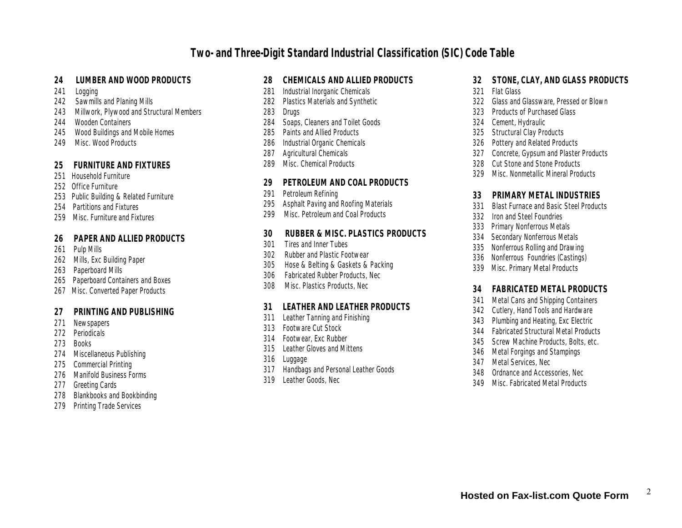- **24 LUMBER AND WOOD PRODUCTS**
- 241 Logging<br>242 Sawmill
- 242 Sawmills and Planing Mills<br>243 Millwork, Plywood and Stru
- 243 Millwork, Plywood and Structural Members<br>244 Wooden Containers
- 244 Wooden Containers<br>245 Wood Buildings and
- 245 Wood Buildings and Mobile Homes<br>249 Misc. Wood Products
- Misc. Wood Products

#### **25 FURNITURE AND FIXTURES**

- 251 Household Furniture
- 252 Office Furniture
- 253 Public Building & Related Furniture
- 254 Partitions and Fixtures
- 259 Misc. Furniture and Fixtures

# **26 PAPER AND ALLIED PRODUCTS**

- Pulp Mills
- 262 Mills, Exc Building Paper<br>263 Paperboard Mills
- Paperboard Mills
- 265 Paperboard Containers and Boxes
- 267 Misc. Converted Paper Products
- **27 PRINTING AND PUBLISHING**
- 271 Newspapers
- 272 Periodicals<br>273 Books
- 273 Books<br>274 Miscel
- 274 Miscellaneous Publishing<br>275 Commercial Printing
- **Commercial Printing**
- 276 Manifold Business Forms<br>277 Greeting Cards
- 277 Greeting Cards<br>278 Blankbooks and
- Blankbooks and Bookbinding
- 279 Printing Trade Services

# **28 CHEMICALS AND ALLIED PRODUCTS**

- 281 Industrial Inorganic Chemicals<br>282 Plastics Materials and Synthet
- 282 Plastics Materials and Synthetic<br>283 Drugs
- 283 Drugs<br>284 Soaps
- 284 Soaps, Cleaners and Toilet Goods<br>285 Paints and Allied Products
- 285 Paints and Allied Products<br>286 Industrial Organic Chemica
- 286 Industrial Organic Chemicals<br>287 Agricultural Chemicals
- 287 Agricultural Chemicals<br>289 Misc. Chemical Product
- Misc. Chemical Products

# **29 PETROLEUM AND COAL PRODUCTS**

- 291 Petroleum Refining<br>295 Asphalt Paving and
- 295 Asphalt Paving and Roofing Materials<br>299 Misc. Petroleum and Coal Products
- Misc. Petroleum and Coal Products

# **30 RUBBER & MISC. PLASTICS PRODUCTS**

- Tires and Inner Tubes
- 302 Rubber and Plastic Footwear
- 305 Hose & Belting & Gaskets & Packing
- 306 Fabricated Rubber Products, Nec
- 308 Misc. Plastics Products, Nec

## **31 LEATHER AND LEATHER PRODUCTS**

- Leather Tanning and Finishing
- 313 Footware Cut Stock
- 314 Footwear, Exc Rubber
- 315 Leather Gloves and Mittens
- 316 Luggage<br>317 Handbag
- **Handbags and Personal Leather Goods**
- 319 Leather Goods, Nec
- **32 STONE, CLAY, AND GLASS PRODUCTS**
- 321 Flat Glass<br>322 Glass and
- 322 Glass and Glassware, Pressed or Blown<br>323 Products of Purchased Glass
- 323 Products of Purchased Glass
- 324 Cement, Hydraulic<br>325 Structural Clav Pro
- 325 Structural Clay Products<br>326 Pottery and Related Prod
- 326 Pottery and Related Products<br>327 Concrete, Gypsum and Plaster
- 327 Concrete, Gypsum and Plaster Products<br>328 Cut Stone and Stone Products
- 328 Cut Stone and Stone Products<br>329 Misc. Nonmetallic Mineral Prod
- Misc. Nonmetallic Mineral Products
- **33 PRIMARY METAL INDUSTRIES**
- 331 Blast Furnace and Basic Steel Products<br>332 Iron and Steel Foundries
- 332 Iron and Steel Foundries<br>333 Primary Nonferrous Meta
- 333 Primary Nonferrous Metals<br>334 Secondary Nonferrous Meta
- 334 Secondary Nonferrous Metals<br>335 Nonferrous Rolling and Drawin
- 335 Nonferrous Rolling and Drawing<br>336 Nonferrous Foundries (Castings
- 336 Nonferrous Foundries (Castings)<br>339 Misc. Primary Metal Products
- **Misc. Primary Metal Products**

# **34 FABRICATED METAL PRODUCTS**

- 341 Metal Cans and Shipping Containers<br>342 Cutlerv. Hand Tools and Hardware
- 342 Cutlery, Hand Tools and Hardware<br>343 Plumbing and Heating, Exc Electric
- 343 Plumbing and Heating, Exc Electric<br>344 Fabricated Structural Metal Produc
- 344 Fabricated Structural Metal Products<br>345 Screw Machine Products, Bolts, etc.
- 345 Screw Machine Products, Bolts, etc.<br>346 Metal Forgings and Stampings
- 346 Metal Forgings and Stampings<br>347 Metal Services, Nec.
- 347 Metal Services, Nec<br>348 Ordnance and Acces
- Ordnance and Accessories, Nec.
- 349 Misc. Fabricated Metal Products

2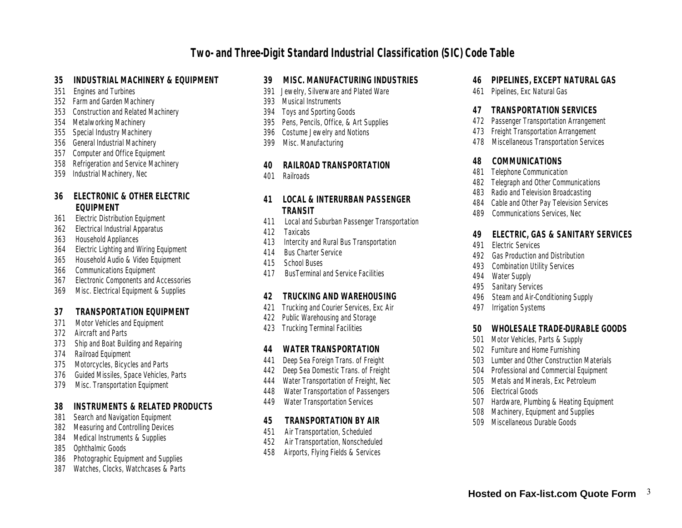- **35 INDUSTRIAL MACHINERY & EQUIPMENT**
- 351 Engines and Turbines
- 352 Farm and Garden Machinery
- 353 Construction and Related Machinery
- 354 Metalworking Machinery
- 355 Special Industry Machinery
- 356 General Industrial Machinery<br>357 Computer and Office Equipment
- 357 Computer and Office Equipment<br>358 Refrigeration and Service Machi
- 358 Refrigeration and Service Machinery<br>359 Industrial Machinery, Nec
- Industrial Machinery, Nec
- **36 ELECTRONIC & OTHER ELECTRIC EQUIPMENT**
- 361 Electric Distribution Equipment
- 362 Electrical Industrial Apparatus
- 363 Household Appliances
- 364 Electric Lighting and Wiring Equipment
- 365 Household Audio & Video Equipment
- 366 Communications Equipment
- 367 Electronic Components and Accessories
- 369 Misc. Electrical Equipment & Supplies
- **37 TRANSPORTATION EQUIPMENT**
- Motor Vehicles and Equipment
- 372 Aircraft and Parts
- 373 Ship and Boat Building and Repairing
- 374 Railroad Equipment<br>375 Motorcycles, Bicycl
- 375 Motorcycles, Bicycles and Parts<br>376 Guided Missiles, Space Vehicles,
- 376 Guided Missiles, Space Vehicles, Parts<br>379 Misc. Transportation Equipment
- **Misc. Transportation Equipment**
- **38 INSTRUMENTS & RELATED PRODUCTS**
- 381 Search and Navigation Equipment<br>382 Measuring and Controlling Devices
- **Measuring and Controlling Devices**
- 384 Medical Instruments & Supplies<br>385 Ophthalmic Goods
- 385 Ophthalmic Goods<br>386 Photographic Equip
- 386 Photographic Equipment and Supplies<br>387 Watches, Clocks, Watchcases & Parts
- Watches, Clocks, Watchcases & Parts
- **39 MISC. MANUFACTURING INDUSTRIES**
- Jewelry, Silverware and Plated Ware
- 393 Musical Instruments
- 394 Toys and Sporting Goods
- 395 Pens, Pencils, Office, & Art Supplies
- 396 Costume Jewelry and Notions<br>399 Misc. Manufacturing
- Misc. Manufacturing
- **40 RAILROAD TRANSPORTATION**
- **Railroads**
- **41 LOCAL & INTERURBAN PASSENGER TRANSIT**
- 411 Local and Suburban Passenger Transportation
- 412 Taxicabs<br>413 Intercity
- 413 Intercity and Rural Bus Transportation<br>414 Bus Charter Service
- 414 Bus Charter Service<br>415 School Buses
- 415 School Buses<br>417 BusTerminal a
- 417 BusTerminal and Service Facilities

# **42 TRUCKING AND WAREHOUSING**

- 421 Trucking and Courier Services, Exc Air<br>422 Public Warehousing and Storage
- 
- **Trucking Terminal Facilities**

# **44 WATER TRANSPORTATION**

- 441 Deep Sea Foreign Trans. of Freight
- 
- 442 Deep Sea Domestic Trans. of Freight<br>444 Water Transportation of Freight, Nec
- 444 Water Transportation of Freight, Nec 448 Water Transportation of Passengers<br>449 Water Transportation Services
- **Water Transportation Services**
- **45 TRANSPORTATION BY AIR**
- 451 Air Transportation, Scheduled<br>452 Air Transportation, Nonschedu
- 452 Air Transportation, Nonscheduled<br>458 Airports, Flying Fields & Services
- Airports, Flying Fields & Services
- **46 PIPELINES, EXCEPT NATURAL GAS**
- 461 Pipelines, Exc Natural Gas
- **47 TRANSPORTATION SERVICES**
- 472 Passenger Transportation Arrangement<br>473 Freight Transportation Arrangement
- 473 Freight Transportation Arrangement<br>478 Miscellaneous Transportation Servic
- 478 Miscellaneous Transportation Services
- **48 COMMUNICATIONS**
- **Telephone Communication**
- 482 Telegraph and Other Communications
- 483 Radio and Television Broadcasting
- 484 Cable and Other Pay Television Services
- 489 Communications Services, Nec
- **49 ELECTRIC, GAS & SANITARY SERVICES**
- **Flectric Services**
- 492 Gas Production and Distribution<br>493 Combination Utility Services
- 493 Combination Utility Services<br>494 Water Supply
- 494 Water Supply<br>495 Sanitary Serv
- 495 Sanitary Services<br>496 Steam and Air-Cor
- 496 Steam and Air-Conditioning Supply<br>497 Irrigation Systems
- **Irrigation Systems**
- **50 WHOLESALE TRADE-DURABLE GOODS**
- 501 Motor Vehicles, Parts & Supply<br>502 Furniture and Home Furnishing
- 502 Furniture and Home Furnishing<br>503 Lumber and Other Construction
- 503 Lumber and Other Construction Materials<br>504 Professional and Commercial Equipment
- 504 Professional and Commercial Equipment<br>505 Metals and Minerals. Exc. Petroleum
- **Metals and Minerals, Exc Petroleum**
- 506 Electrical Goods<br>507 Hardware, Pluml
- 507 Hardware, Plumbing & Heating Equipment<br>508 Machinery, Equipment and Supplies
- 508 Machinery, Equipment and Supplies<br>509 Miscellaneous Durable Goods
- 509 Miscellaneous Durable Goods

422 Public Warehousing and Storage<br>423 Trucking Terminal Facilities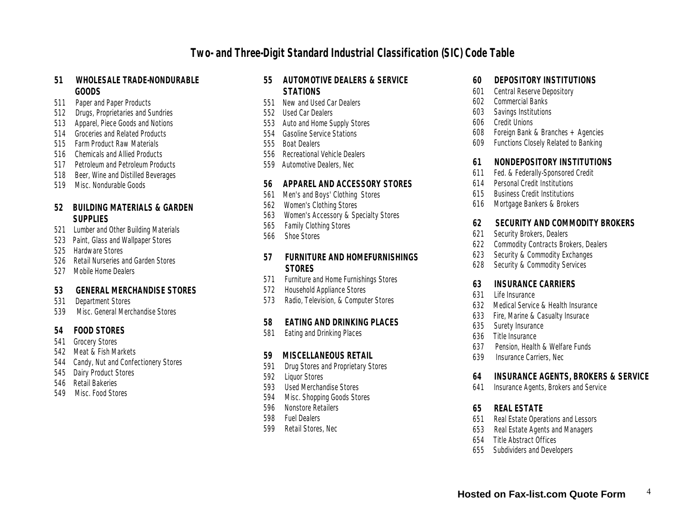#### **51 WHOLESALE TRADE-NONDURABLE GOODS**

- 511 Paper and Paper Products<br>512 Drugs Proprietaries and S
- Drugs, Proprietaries and Sundries
- 513 Apparel, Piece Goods and Notions
- 514 Groceries and Related Products
- 515 Farm Product Raw Materials
- 516 Chemicals and Allied Products
- 517 Petroleum and Petroleum Products<br>518 Beer. Wine and Distilled Beverages
- Beer, Wine and Distilled Beverages
- 519 Misc. Nondurable Goods

### **52 BUILDING MATERIALS & GARDEN SUPPLIES**

- 521 Lumber and Other Building Materials
- 523 Paint, Glass and Wallpaper Stores
- 525 Hardware Stores
- 526 Retail Nurseries and Garden Stores<br>527 Mobile Home Dealers
- Mobile Home Dealers
- **53 GENERAL MERCHANDISE STORES**
- Department Stores
- 539 Misc. General Merchandise Stores
- **54 FOOD STORES**
- 541 Grocery Stores<br>542 Meat & Fish Ma
- Meat & Fish Markets
- 544 Candy, Nut and Confectionery Stores<br>545 Dairy Product Stores
- 545 Dairy Product Stores<br>546 Retail Bakeries
- 546 Retail Bakeries<br>549 Misc. Food Sto
- Misc. Food Stores

### **55 AUTOMOTIVE DEALERS & SERVICE STATIONS**

- 551 New and Used Car Dealers
- 552 Used Car Dealers
- 553 Auto and Home Supply Stores
- 554 Gasoline Service Stations
- 555 Boat Dealers
- 556 Recreational Vehicle Dealers
- 559 Automotive Dealers, Nec

#### **56 APPAREL AND ACCESSORY STORES**

- 561 Men's and Boys' Clothing Stores<br>562 Women's Clothing Stores
- 562 Women's Clothing Stores<br>563 Women's Accessory & Sp
- 563 Women's Accessory & Specialty Stores
- 565 Family Clothing Stores<br>566 Shoe Stores
- Shoe Stores

### **57 FURNITURE AND HOMEFURNISHINGS STORES**

- 571 Furniture and Home Furnishings Stores<br>572 Household Appliance Stores
- 572 Household Appliance Stores<br>573 Radio, Television, & Comput
- Radio, Television, & Computer Stores

## **58 EATING AND DRINKING PLACES**

Eating and Drinking Places

# **59 MISCELLANEOUS RETAIL**

- **Drug Stores and Proprietary Stores**
- 592 Liquor Stores
- 593 Used Merchandise Stores
- 594 Misc. Shopping Goods Stores
- 596 Nonstore Retailers
- 598 Fuel Dealers
- 599 Retail Stores, Nec
- **60 DEPOSITORY INSTITUTIONS**
- 601 Central Reserve Depository<br>602 Commercial Banks
- 602 Commercial Banks
- 603 Savings Institutions
- 606 Credit Unions<br>608 Foreign Bank
- 608 Foreign Bank & Branches + Agencies<br>609 Functions Closelv Related to Banking
- Functions Closely Related to Banking
- **61 NONDEPOSITORY INSTITUTIONS**
- 611 Fed. & Federally-Sponsored Credit<br>614 Personal Credit Institutions
- 614 Personal Credit Institutions<br>615 Business Credit Institutions
- 615 Business Credit Institutions<br>616 Mortgage Bankers & Broker
- Mortgage Bankers & Brokers
- **62 SECURITY AND COMMODITY BROKERS**
- Security Brokers, Dealers
- 622 Commodity Contracts Brokers, Dealers<br>623 Security & Commodity Exchanges
- Security & Commodity Exchanges
- 628 Security & Commodity Services
- **63 INSURANCE CARRIERS**
- 631 Life Insurance<br>632 Medical Service
- 632 Medical Service & Health Insurance<br>633 Fire, Marine & Casualty Insurace
- 633 Fire, Marine & Casualty Insurace<br>635 Surety Insurance
- 635 Surety Insurance<br>636 Title Insurance
- 636 Title Insurance<br>637 Pension Health
- 637 Pension, Health & Welfare Funds<br>639 Insurance Carriers, Nec
- Insurance Carriers, Nec
- **64 INSURANCE AGENTS, BROKERS & SERVICE**
- 641 Insurance Agents, Brokers and Service
- **65 REAL ESTATE**
- 651 Real Estate Operations and Lessors<br>653 Real Estate Agents and Managers
- 653 Real Estate Agents and Managers<br>654 Title Abstract Offices
- 654 Title Abstract Offices<br>655 Subdividers and Devel
- Subdividers and Developers